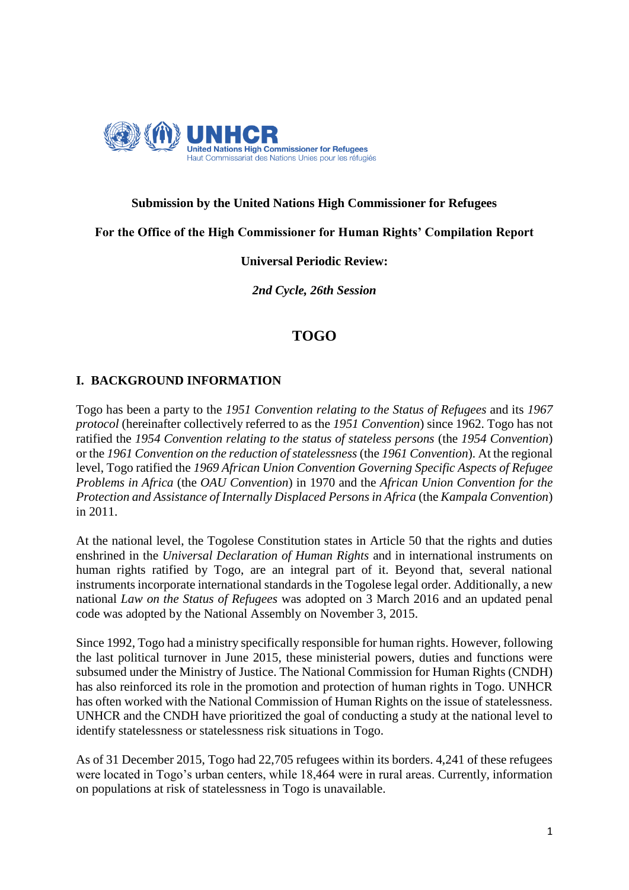

# **Submission by the United Nations High Commissioner for Refugees**

**For the Office of the High Commissioner for Human Rights' Compilation Report**

#### **Universal Periodic Review:**

*2nd Cycle, 26th Session*

# **TOGO**

## **I. BACKGROUND INFORMATION**

Togo has been a party to the *1951 Convention relating to the Status of Refugees* and its *1967 protocol* (hereinafter collectively referred to as the *1951 Convention*) since 1962. Togo has not ratified the *1954 Convention relating to the status of stateless persons* (the *1954 Convention*) or the *1961 Convention on the reduction of statelessness* (the *1961 Convention*). At the regional level, Togo ratified the *1969 African Union Convention Governing Specific Aspects of Refugee Problems in Africa* (the *OAU Convention*) in 1970 and the *African Union Convention for the Protection and Assistance of Internally Displaced Persons in Africa* (the *Kampala Convention*) in 2011.

At the national level, the Togolese Constitution states in Article 50 that the rights and duties enshrined in the *Universal Declaration of Human Rights* and in international instruments on human rights ratified by Togo, are an integral part of it. Beyond that, several national instruments incorporate international standards in the Togolese legal order. Additionally, a new national *Law on the Status of Refugees* was adopted on 3 March 2016 and an updated penal code was adopted by the National Assembly on November 3, 2015.

Since 1992, Togo had a ministry specifically responsible for human rights. However, following the last political turnover in June 2015, these ministerial powers, duties and functions were subsumed under the Ministry of Justice. The National Commission for Human Rights (CNDH) has also reinforced its role in the promotion and protection of human rights in Togo. UNHCR has often worked with the National Commission of Human Rights on the issue of statelessness. UNHCR and the CNDH have prioritized the goal of conducting a study at the national level to identify statelessness or statelessness risk situations in Togo.

As of 31 December 2015, Togo had 22,705 refugees within its borders. 4,241 of these refugees were located in Togo's urban centers, while 18,464 were in rural areas. Currently, information on populations at risk of statelessness in Togo is unavailable.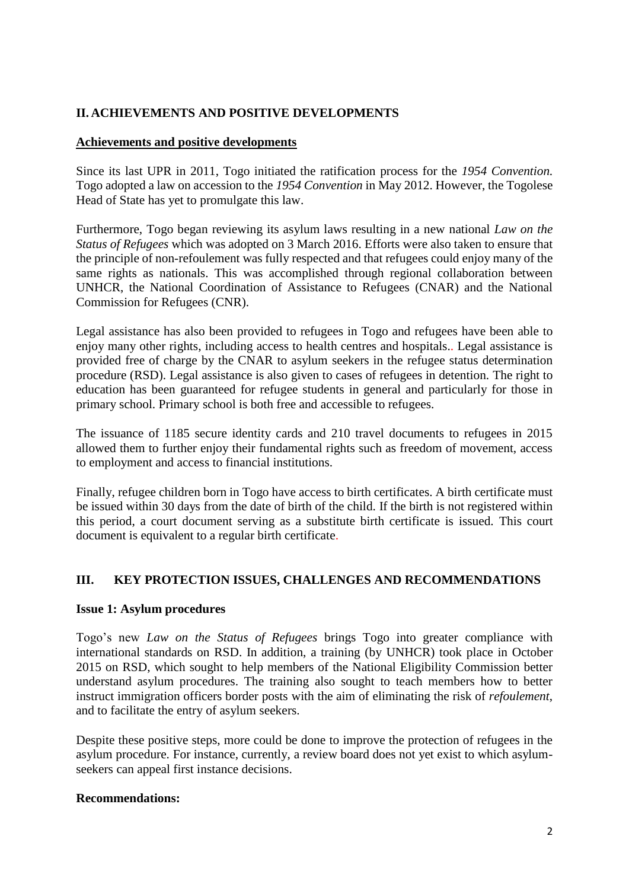# **II. ACHIEVEMENTS AND POSITIVE DEVELOPMENTS**

# **Achievements and positive developments**

Since its last UPR in 2011, Togo initiated the ratification process for the *1954 Convention.* Togo adopted a law on accession to the *1954 Convention* in May 2012. However, the Togolese Head of State has yet to promulgate this law.

Furthermore, Togo began reviewing its asylum laws resulting in a new national *Law on the Status of Refugees* which was adopted on 3 March 2016. Efforts were also taken to ensure that the principle of non-refoulement was fully respected and that refugees could enjoy many of the same rights as nationals. This was accomplished through regional collaboration between UNHCR, the National Coordination of Assistance to Refugees (CNAR) and the National Commission for Refugees (CNR).

Legal assistance has also been provided to refugees in Togo and refugees have been able to enjoy many other rights, including access to health centres and hospitals.. Legal assistance is provided free of charge by the CNAR to asylum seekers in the refugee status determination procedure (RSD). Legal assistance is also given to cases of refugees in detention. The right to education has been guaranteed for refugee students in general and particularly for those in primary school. Primary school is both free and accessible to refugees.

The issuance of 1185 secure identity cards and 210 travel documents to refugees in 2015 allowed them to further enjoy their fundamental rights such as freedom of movement, access to employment and access to financial institutions.

Finally, refugee children born in Togo have access to birth certificates. A birth certificate must be issued within 30 days from the date of birth of the child. If the birth is not registered within this period, a court document serving as a substitute birth certificate is issued. This court document is equivalent to a regular birth certificate.

## **III. KEY PROTECTION ISSUES, CHALLENGES AND RECOMMENDATIONS**

## **Issue 1: Asylum procedures**

Togo's new *Law on the Status of Refugees* brings Togo into greater compliance with international standards on RSD. In addition, a training (by UNHCR) took place in October 2015 on RSD, which sought to help members of the National Eligibility Commission better understand asylum procedures. The training also sought to teach members how to better instruct immigration officers border posts with the aim of eliminating the risk of *refoulement*, and to facilitate the entry of asylum seekers.

Despite these positive steps, more could be done to improve the protection of refugees in the asylum procedure. For instance, currently, a review board does not yet exist to which asylumseekers can appeal first instance decisions.

## **Recommendations:**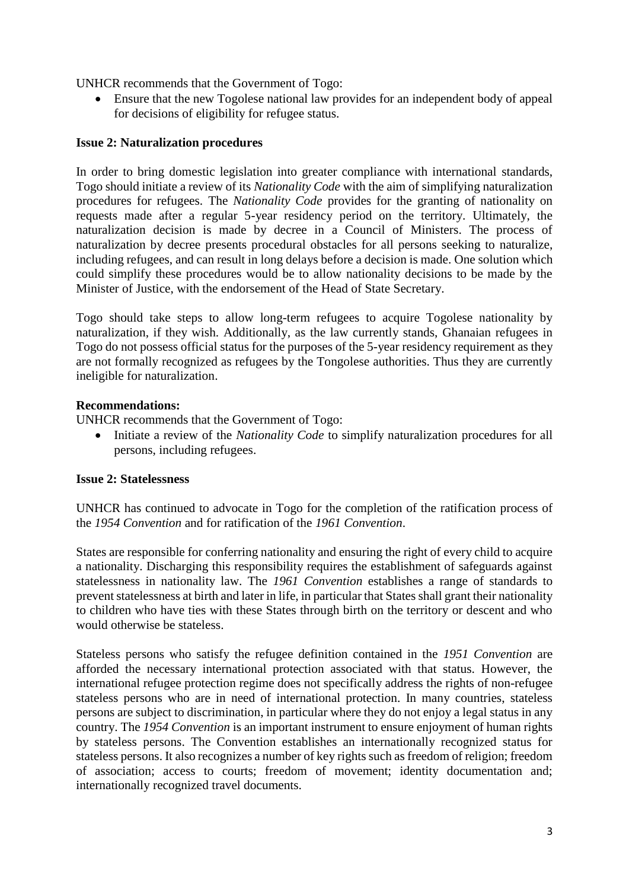UNHCR recommends that the Government of Togo:

 Ensure that the new Togolese national law provides for an independent body of appeal for decisions of eligibility for refugee status.

#### **Issue 2: Naturalization procedures**

In order to bring domestic legislation into greater compliance with international standards, Togo should initiate a review of its *Nationality Code* with the aim of simplifying naturalization procedures for refugees. The *Nationality Code* provides for the granting of nationality on requests made after a regular 5-year residency period on the territory. Ultimately, the naturalization decision is made by decree in a Council of Ministers. The process of naturalization by decree presents procedural obstacles for all persons seeking to naturalize, including refugees, and can result in long delays before a decision is made. One solution which could simplify these procedures would be to allow nationality decisions to be made by the Minister of Justice, with the endorsement of the Head of State Secretary.

Togo should take steps to allow long-term refugees to acquire Togolese nationality by naturalization, if they wish. Additionally, as the law currently stands, Ghanaian refugees in Togo do not possess official status for the purposes of the 5-year residency requirement as they are not formally recognized as refugees by the Tongolese authorities. Thus they are currently ineligible for naturalization.

#### **Recommendations:**

UNHCR recommends that the Government of Togo:

• Initiate a review of the *Nationality Code* to simplify naturalization procedures for all persons, including refugees.

#### **Issue 2: Statelessness**

UNHCR has continued to advocate in Togo for the completion of the ratification process of the *1954 Convention* and for ratification of the *1961 Convention*.

States are responsible for conferring nationality and ensuring the right of every child to acquire a nationality. Discharging this responsibility requires the establishment of safeguards against statelessness in nationality law. The *1961 Convention* establishes a range of standards to prevent statelessness at birth and later in life, in particular that States shall grant their nationality to children who have ties with these States through birth on the territory or descent and who would otherwise be stateless.

Stateless persons who satisfy the refugee definition contained in the *1951 Convention* are afforded the necessary international protection associated with that status. However, the international refugee protection regime does not specifically address the rights of non-refugee stateless persons who are in need of international protection. In many countries, stateless persons are subject to discrimination, in particular where they do not enjoy a legal status in any country. The *1954 Convention* is an important instrument to ensure enjoyment of human rights by stateless persons. The Convention establishes an internationally recognized status for stateless persons. It also recognizes a number of key rights such as freedom of religion; freedom of association; access to courts; freedom of movement; identity documentation and; internationally recognized travel documents.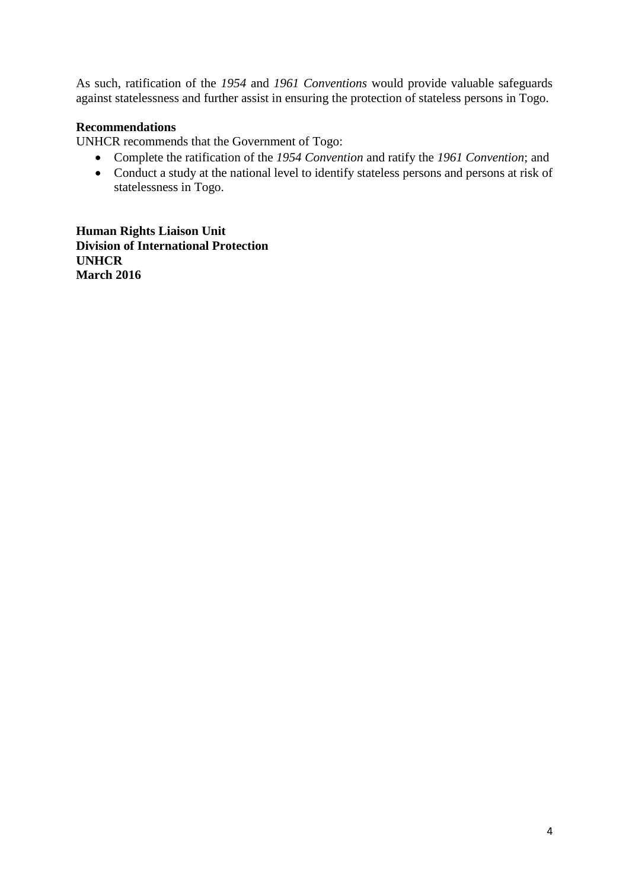As such, ratification of the *1954* and *1961 Conventions* would provide valuable safeguards against statelessness and further assist in ensuring the protection of stateless persons in Togo.

# **Recommendations**

UNHCR recommends that the Government of Togo:

- Complete the ratification of the *1954 Convention* and ratify the *1961 Convention*; and
- Conduct a study at the national level to identify stateless persons and persons at risk of statelessness in Togo.

**Human Rights Liaison Unit Division of International Protection UNHCR March 2016**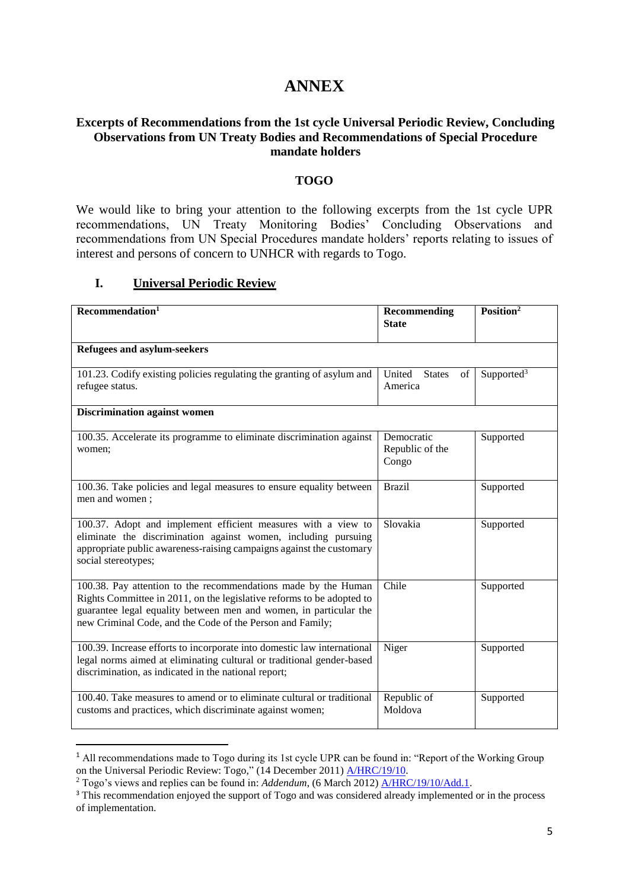# **ANNEX**

#### **Excerpts of Recommendations from the 1st cycle Universal Periodic Review, Concluding Observations from UN Treaty Bodies and Recommendations of Special Procedure mandate holders**

#### **TOGO**

We would like to bring your attention to the following excerpts from the 1st cycle UPR recommendations, UN Treaty Monitoring Bodies' Concluding Observations and recommendations from UN Special Procedures mandate holders' reports relating to issues of interest and persons of concern to UNHCR with regards to Togo.

#### **I. Universal Periodic Review**

**.** 

| Recommenlation <sup>1</sup>                                                                                                                                                                                                                                               | Recommending<br><b>State</b>           | Position <sup>2</sup>  |
|---------------------------------------------------------------------------------------------------------------------------------------------------------------------------------------------------------------------------------------------------------------------------|----------------------------------------|------------------------|
| Refugees and asylum-seekers                                                                                                                                                                                                                                               |                                        |                        |
| 101.23. Codify existing policies regulating the granting of asylum and<br>refugee status.                                                                                                                                                                                 | United States<br>of<br>America         | Supported <sup>3</sup> |
| <b>Discrimination against women</b>                                                                                                                                                                                                                                       |                                        |                        |
| 100.35. Accelerate its programme to eliminate discrimination against<br>women;                                                                                                                                                                                            | Democratic<br>Republic of the<br>Congo | Supported              |
| 100.36. Take policies and legal measures to ensure equality between<br>men and women;                                                                                                                                                                                     | <b>Brazil</b>                          | Supported              |
| 100.37. Adopt and implement efficient measures with a view to<br>eliminate the discrimination against women, including pursuing<br>appropriate public awareness-raising campaigns against the customary<br>social stereotypes;                                            | Slovakia                               | Supported              |
| 100.38. Pay attention to the recommendations made by the Human<br>Rights Committee in 2011, on the legislative reforms to be adopted to<br>guarantee legal equality between men and women, in particular the<br>new Criminal Code, and the Code of the Person and Family; | Chile                                  | Supported              |
| 100.39. Increase efforts to incorporate into domestic law international<br>legal norms aimed at eliminating cultural or traditional gender-based<br>discrimination, as indicated in the national report;                                                                  | Niger                                  | Supported              |
| 100.40. Take measures to amend or to eliminate cultural or traditional<br>customs and practices, which discriminate against women;                                                                                                                                        | Republic of<br>Moldova                 | Supported              |

<sup>&</sup>lt;sup>1</sup> All recommendations made to Togo during its 1st cycle UPR can be found in: "Report of the Working Group" on the Universal Periodic Review: Togo," (14 December 2011) [A/HRC/19/10.](http://www.ohchr.org/EN/HRBodies/UPR/Pages/TGSession12.aspx)

<sup>2</sup> Togo's views and replies can be found in: *Addendum*, (6 March 2012) [A/HRC/19/10/Add.1.](http://www.ohchr.org/EN/HRBodies/UPR/Pages/TGSession12.aspx)

<sup>&</sup>lt;sup>3</sup> This recommendation enjoyed the support of Togo and was considered already implemented or in the process of implementation.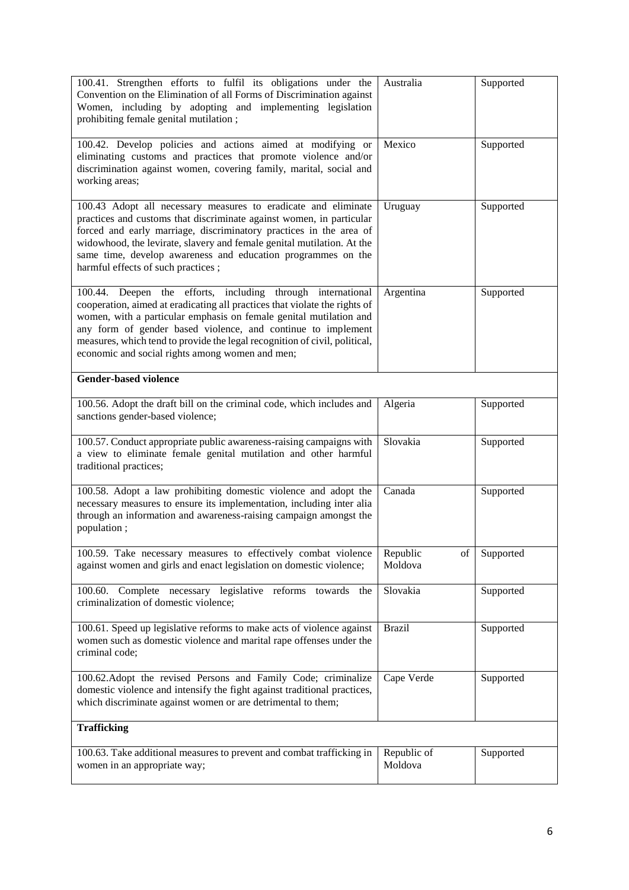| 100.41. Strengthen efforts to fulfil its obligations under the<br>Convention on the Elimination of all Forms of Discrimination against<br>Women, including by adopting and implementing legislation<br>prohibiting female genital mutilation;                                                                                                                                                                    | Australia                 | Supported |  |  |
|------------------------------------------------------------------------------------------------------------------------------------------------------------------------------------------------------------------------------------------------------------------------------------------------------------------------------------------------------------------------------------------------------------------|---------------------------|-----------|--|--|
| 100.42. Develop policies and actions aimed at modifying or<br>eliminating customs and practices that promote violence and/or<br>discrimination against women, covering family, marital, social and<br>working areas;                                                                                                                                                                                             | Mexico                    | Supported |  |  |
| 100.43 Adopt all necessary measures to eradicate and eliminate<br>practices and customs that discriminate against women, in particular<br>forced and early marriage, discriminatory practices in the area of<br>widowhood, the levirate, slavery and female genital mutilation. At the<br>same time, develop awareness and education programmes on the<br>harmful effects of such practices;                     | Uruguay                   | Supported |  |  |
| 100.44. Deepen the efforts, including through international<br>cooperation, aimed at eradicating all practices that violate the rights of<br>women, with a particular emphasis on female genital mutilation and<br>any form of gender based violence, and continue to implement<br>measures, which tend to provide the legal recognition of civil, political,<br>economic and social rights among women and men; | Argentina                 | Supported |  |  |
| <b>Gender-based violence</b>                                                                                                                                                                                                                                                                                                                                                                                     |                           |           |  |  |
| 100.56. Adopt the draft bill on the criminal code, which includes and<br>sanctions gender-based violence;                                                                                                                                                                                                                                                                                                        | Algeria                   | Supported |  |  |
| 100.57. Conduct appropriate public awareness-raising campaigns with<br>a view to eliminate female genital mutilation and other harmful<br>traditional practices;                                                                                                                                                                                                                                                 | Slovakia                  | Supported |  |  |
| 100.58. Adopt a law prohibiting domestic violence and adopt the<br>necessary measures to ensure its implementation, including inter alia<br>through an information and awareness-raising campaign amongst the<br>population;                                                                                                                                                                                     | Canada                    | Supported |  |  |
| 100.59. Take necessary measures to effectively combat violence<br>against women and girls and enact legislation on domestic violence;                                                                                                                                                                                                                                                                            | Republic<br>of<br>Moldova | Supported |  |  |
| 100.60. Complete necessary legislative reforms towards the<br>criminalization of domestic violence;                                                                                                                                                                                                                                                                                                              | Slovakia                  | Supported |  |  |
| 100.61. Speed up legislative reforms to make acts of violence against<br>women such as domestic violence and marital rape offenses under the<br>criminal code;                                                                                                                                                                                                                                                   | <b>Brazil</b>             | Supported |  |  |
| 100.62. Adopt the revised Persons and Family Code; criminalize<br>domestic violence and intensify the fight against traditional practices,<br>which discriminate against women or are detrimental to them;                                                                                                                                                                                                       | Cape Verde                | Supported |  |  |
| <b>Trafficking</b>                                                                                                                                                                                                                                                                                                                                                                                               |                           |           |  |  |
| 100.63. Take additional measures to prevent and combat trafficking in<br>women in an appropriate way;                                                                                                                                                                                                                                                                                                            | Republic of<br>Moldova    | Supported |  |  |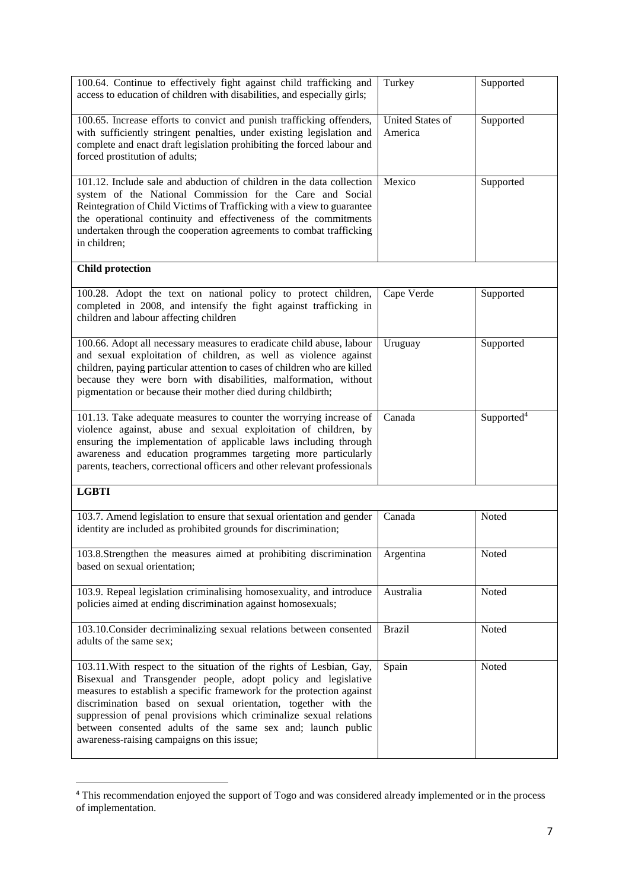| 100.64. Continue to effectively fight against child trafficking and<br>access to education of children with disabilities, and especially girls;                                                                                                                                                                                                                                                                                                                    | Turkey                             | Supported              |
|--------------------------------------------------------------------------------------------------------------------------------------------------------------------------------------------------------------------------------------------------------------------------------------------------------------------------------------------------------------------------------------------------------------------------------------------------------------------|------------------------------------|------------------------|
| 100.65. Increase efforts to convict and punish trafficking offenders,<br>with sufficiently stringent penalties, under existing legislation and<br>complete and enact draft legislation prohibiting the forced labour and<br>forced prostitution of adults;                                                                                                                                                                                                         | <b>United States of</b><br>America | Supported              |
| 101.12. Include sale and abduction of children in the data collection<br>system of the National Commission for the Care and Social<br>Reintegration of Child Victims of Trafficking with a view to guarantee<br>the operational continuity and effectiveness of the commitments<br>undertaken through the cooperation agreements to combat trafficking<br>in children;                                                                                             | Mexico                             | Supported              |
| <b>Child protection</b>                                                                                                                                                                                                                                                                                                                                                                                                                                            |                                    |                        |
| 100.28. Adopt the text on national policy to protect children,<br>completed in 2008, and intensify the fight against trafficking in<br>children and labour affecting children                                                                                                                                                                                                                                                                                      | Cape Verde                         | Supported              |
| 100.66. Adopt all necessary measures to eradicate child abuse, labour<br>and sexual exploitation of children, as well as violence against<br>children, paying particular attention to cases of children who are killed<br>because they were born with disabilities, malformation, without<br>pigmentation or because their mother died during childbirth;                                                                                                          | Uruguay                            | Supported              |
| 101.13. Take adequate measures to counter the worrying increase of<br>violence against, abuse and sexual exploitation of children, by<br>ensuring the implementation of applicable laws including through<br>awareness and education programmes targeting more particularly<br>parents, teachers, correctional officers and other relevant professionals                                                                                                           | Canada                             | Supported <sup>4</sup> |
| <b>LGBTI</b>                                                                                                                                                                                                                                                                                                                                                                                                                                                       |                                    |                        |
| 103.7. Amend legislation to ensure that sexual orientation and gender<br>identity are included as prohibited grounds for discrimination;                                                                                                                                                                                                                                                                                                                           | Canada                             | Noted                  |
| 103.8.Strengthen the measures aimed at prohibiting discrimination<br>based on sexual orientation;                                                                                                                                                                                                                                                                                                                                                                  | Argentina                          | Noted                  |
| 103.9. Repeal legislation criminalising homosexuality, and introduce<br>policies aimed at ending discrimination against homosexuals;                                                                                                                                                                                                                                                                                                                               | Australia                          | Noted                  |
| 103.10. Consider decriminalizing sexual relations between consented<br>adults of the same sex;                                                                                                                                                                                                                                                                                                                                                                     | <b>Brazil</b>                      | Noted                  |
| 103.11. With respect to the situation of the rights of Lesbian, Gay,<br>Bisexual and Transgender people, adopt policy and legislative<br>measures to establish a specific framework for the protection against<br>discrimination based on sexual orientation, together with the<br>suppression of penal provisions which criminalize sexual relations<br>between consented adults of the same sex and; launch public<br>awareness-raising campaigns on this issue; | Spain                              | Noted                  |

<sup>&</sup>lt;sup>4</sup> This recommendation enjoyed the support of Togo and was considered already implemented or in the process of implementation.

**.**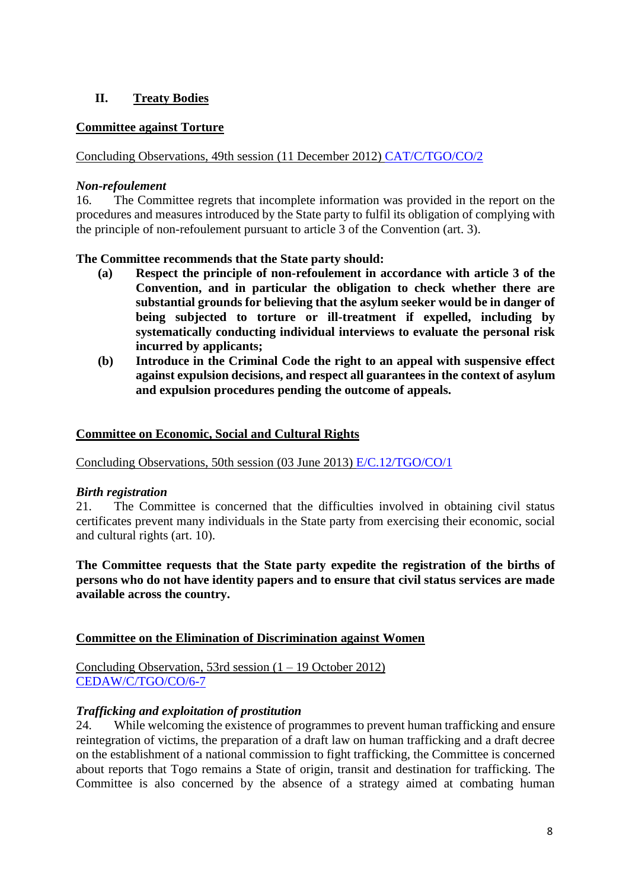# **II. Treaty Bodies**

#### **Committee against Torture**

Concluding Observations, 49th session (11 December 2012) [CAT/C/TGO/CO/2](http://tbinternet.ohchr.org/_layouts/treatybodyexternal/Download.aspx?symbolno=CAT/C/TGO/CO/2&Lang=En)

#### *Non-refoulement*

16. The Committee regrets that incomplete information was provided in the report on the procedures and measures introduced by the State party to fulfil its obligation of complying with the principle of non-refoulement pursuant to article 3 of the Convention (art. 3).

#### **The Committee recommends that the State party should:**

- **(a) Respect the principle of non-refoulement in accordance with article 3 of the Convention, and in particular the obligation to check whether there are substantial grounds for believing that the asylum seeker would be in danger of being subjected to torture or ill-treatment if expelled, including by systematically conducting individual interviews to evaluate the personal risk incurred by applicants;**
- **(b) Introduce in the Criminal Code the right to an appeal with suspensive effect against expulsion decisions, and respect all guarantees in the context of asylum and expulsion procedures pending the outcome of appeals.**

#### **Committee on Economic, Social and Cultural Rights**

Concluding Observations, 50th session (03 June 2013) [E/C.12/TGO/CO/1](http://tbinternet.ohchr.org/_layouts/treatybodyexternal/Download.aspx?symbolno=E/C.12/TGO/CO/1&Lang=En)

#### *Birth registration*

21. The Committee is concerned that the difficulties involved in obtaining civil status certificates prevent many individuals in the State party from exercising their economic, social and cultural rights (art. 10).

**The Committee requests that the State party expedite the registration of the births of persons who do not have identity papers and to ensure that civil status services are made available across the country.**

#### **Committee on the Elimination of Discrimination against Women**

Concluding Observation, 53rd session (1 – 19 October 2012) [CEDAW/C/TGO/CO/6-7](http://tbinternet.ohchr.org/_layouts/treatybodyexternal/Download.aspx?symbolno=CEDAW/C/TGO/CO/6-7&Lang=En)

## *Trafficking and exploitation of prostitution*

24. While welcoming the existence of programmes to prevent human trafficking and ensure reintegration of victims, the preparation of a draft law on human trafficking and a draft decree on the establishment of a national commission to fight trafficking, the Committee is concerned about reports that Togo remains a State of origin, transit and destination for trafficking. The Committee is also concerned by the absence of a strategy aimed at combating human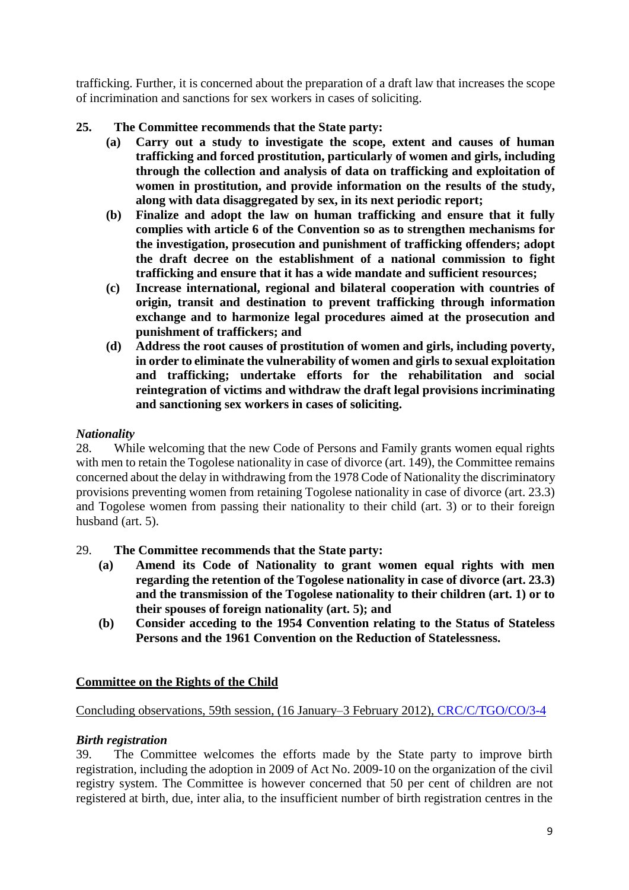trafficking. Further, it is concerned about the preparation of a draft law that increases the scope of incrimination and sanctions for sex workers in cases of soliciting.

# **25. The Committee recommends that the State party:**

- **(a) Carry out a study to investigate the scope, extent and causes of human trafficking and forced prostitution, particularly of women and girls, including through the collection and analysis of data on trafficking and exploitation of women in prostitution, and provide information on the results of the study, along with data disaggregated by sex, in its next periodic report;**
- **(b) Finalize and adopt the law on human trafficking and ensure that it fully complies with article 6 of the Convention so as to strengthen mechanisms for the investigation, prosecution and punishment of trafficking offenders; adopt the draft decree on the establishment of a national commission to fight trafficking and ensure that it has a wide mandate and sufficient resources;**
- **(c) Increase international, regional and bilateral cooperation with countries of origin, transit and destination to prevent trafficking through information exchange and to harmonize legal procedures aimed at the prosecution and punishment of traffickers; and**
- **(d) Address the root causes of prostitution of women and girls, including poverty, in order to eliminate the vulnerability of women and girls to sexual exploitation and trafficking; undertake efforts for the rehabilitation and social reintegration of victims and withdraw the draft legal provisions incriminating and sanctioning sex workers in cases of soliciting.**

## *Nationality*

28. While welcoming that the new Code of Persons and Family grants women equal rights with men to retain the Togolese nationality in case of divorce (art. 149), the Committee remains concerned about the delay in withdrawing from the 1978 Code of Nationality the discriminatory provisions preventing women from retaining Togolese nationality in case of divorce (art. 23.3) and Togolese women from passing their nationality to their child (art. 3) or to their foreign husband (art. 5).

## 29. **The Committee recommends that the State party:**

- **(a) Amend its Code of Nationality to grant women equal rights with men regarding the retention of the Togolese nationality in case of divorce (art. 23.3) and the transmission of the Togolese nationality to their children (art. 1) or to their spouses of foreign nationality (art. 5); and**
- **(b) Consider acceding to the 1954 Convention relating to the Status of Stateless Persons and the 1961 Convention on the Reduction of Statelessness.**

## **Committee on the Rights of the Child**

## Concluding observations, 59th session, (16 January–3 February 2012), [CRC/C/TGO/CO/3-4](http://tbinternet.ohchr.org/_layouts/treatybodyexternal/Download.aspx?symbolno=CRC/C/TGO/CO/3-4&Lang=En)

#### *Birth registration*

39. The Committee welcomes the efforts made by the State party to improve birth registration, including the adoption in 2009 of Act No. 2009-10 on the organization of the civil registry system. The Committee is however concerned that 50 per cent of children are not registered at birth, due, inter alia, to the insufficient number of birth registration centres in the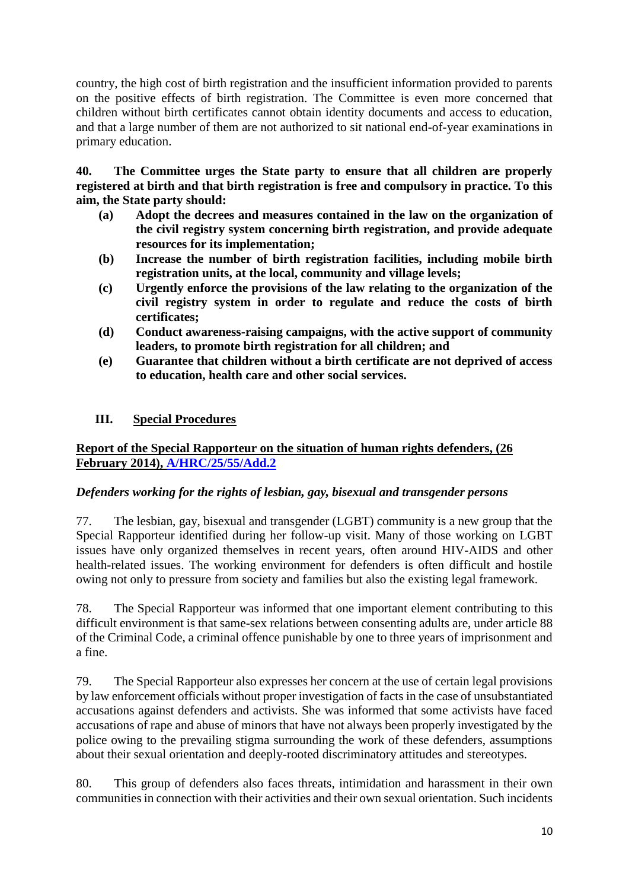country, the high cost of birth registration and the insufficient information provided to parents on the positive effects of birth registration. The Committee is even more concerned that children without birth certificates cannot obtain identity documents and access to education, and that a large number of them are not authorized to sit national end-of-year examinations in primary education.

**40. The Committee urges the State party to ensure that all children are properly registered at birth and that birth registration is free and compulsory in practice. To this aim, the State party should:**

- **(a) Adopt the decrees and measures contained in the law on the organization of the civil registry system concerning birth registration, and provide adequate resources for its implementation;**
- **(b) Increase the number of birth registration facilities, including mobile birth registration units, at the local, community and village levels;**
- **(c) Urgently enforce the provisions of the law relating to the organization of the civil registry system in order to regulate and reduce the costs of birth certificates;**
- **(d) Conduct awareness-raising campaigns, with the active support of community leaders, to promote birth registration for all children; and**
- **(e) Guarantee that children without a birth certificate are not deprived of access to education, health care and other social services.**

# **III. Special Procedures**

## **Report of the Special Rapporteur on the situation of human rights defenders, (26 February 2014), [A/HRC/25/55/Add.2](http://ap.ohchr.org/documents/dpage_e.aspx?si=A/HRC/25/55/Add.2)**

## *Defenders working for the rights of lesbian, gay, bisexual and transgender persons*

77. The lesbian, gay, bisexual and transgender (LGBT) community is a new group that the Special Rapporteur identified during her follow-up visit. Many of those working on LGBT issues have only organized themselves in recent years, often around HIV-AIDS and other health-related issues. The working environment for defenders is often difficult and hostile owing not only to pressure from society and families but also the existing legal framework.

78. The Special Rapporteur was informed that one important element contributing to this difficult environment is that same-sex relations between consenting adults are, under article 88 of the Criminal Code, a criminal offence punishable by one to three years of imprisonment and a fine.

79. The Special Rapporteur also expresses her concern at the use of certain legal provisions by law enforcement officials without proper investigation of facts in the case of unsubstantiated accusations against defenders and activists. She was informed that some activists have faced accusations of rape and abuse of minors that have not always been properly investigated by the police owing to the prevailing stigma surrounding the work of these defenders, assumptions about their sexual orientation and deeply-rooted discriminatory attitudes and stereotypes.

80. This group of defenders also faces threats, intimidation and harassment in their own communities in connection with their activities and their own sexual orientation. Such incidents